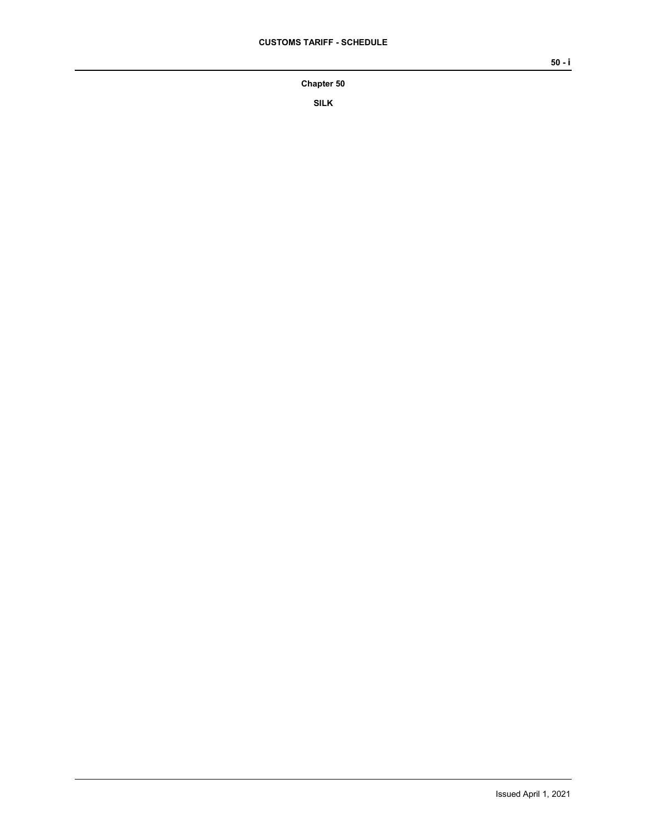## **Chapter 50**

**SILK**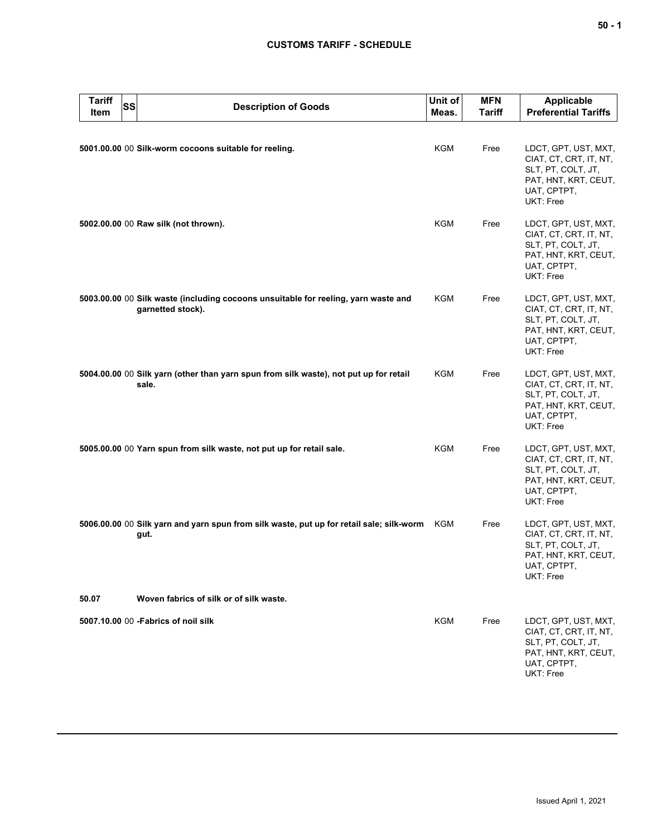## **CUSTOMS TARIFF - SCHEDULE**

| <b>Tariff</b><br>Item | SS | <b>Description of Goods</b>                                                                             | Unit of<br>Meas. | <b>MFN</b><br><b>Tariff</b> | Applicable<br><b>Preferential Tariffs</b>                                                                                |
|-----------------------|----|---------------------------------------------------------------------------------------------------------|------------------|-----------------------------|--------------------------------------------------------------------------------------------------------------------------|
|                       |    | 5001.00.00 00 Silk-worm cocoons suitable for reeling.                                                   | <b>KGM</b>       | Free                        | LDCT, GPT, UST, MXT,<br>CIAT, CT, CRT, IT, NT,<br>SLT, PT, COLT, JT,<br>PAT, HNT, KRT, CEUT,<br>UAT, CPTPT,<br>UKT: Free |
|                       |    | 5002.00.00 00 Raw silk (not thrown).                                                                    | KGM              | Free                        | LDCT, GPT, UST, MXT,<br>CIAT, CT, CRT, IT, NT,<br>SLT, PT, COLT, JT,<br>PAT, HNT, KRT, CEUT,<br>UAT, CPTPT,<br>UKT: Free |
|                       |    | 5003.00.00 00 Silk waste (including cocoons unsuitable for reeling, yarn waste and<br>garnetted stock). | KGM              | Free                        | LDCT, GPT, UST, MXT,<br>CIAT, CT, CRT, IT, NT,<br>SLT, PT, COLT, JT,<br>PAT, HNT, KRT, CEUT,<br>UAT, CPTPT,<br>UKT: Free |
|                       |    | 5004.00.00 00 Silk yarn (other than yarn spun from silk waste), not put up for retail<br>sale.          | <b>KGM</b>       | Free                        | LDCT, GPT, UST, MXT,<br>CIAT, CT, CRT, IT, NT,<br>SLT, PT, COLT, JT,<br>PAT, HNT, KRT, CEUT,<br>UAT, CPTPT,<br>UKT: Free |
|                       |    | 5005.00.00 00 Yarn spun from silk waste, not put up for retail sale.                                    | <b>KGM</b>       | Free                        | LDCT, GPT, UST, MXT,<br>CIAT, CT, CRT, IT, NT,<br>SLT, PT, COLT, JT,<br>PAT, HNT, KRT, CEUT,<br>UAT, CPTPT,<br>UKT: Free |
|                       |    | 5006.00.00 00 Silk yarn and yarn spun from silk waste, put up for retail sale; silk-worm<br>gut.        | KGM              | Free                        | LDCT, GPT, UST, MXT,<br>CIAT, CT, CRT, IT, NT,<br>SLT, PT, COLT, JT,<br>PAT, HNT, KRT, CEUT,<br>UAT, CPTPT,<br>UKT: Free |
| 50.07                 |    | Woven fabrics of silk or of silk waste.                                                                 |                  |                             |                                                                                                                          |
|                       |    | 5007.10.00 00 - Fabrics of noil silk                                                                    | <b>KGM</b>       | Free                        | LDCT, GPT, UST, MXT,<br>CIAT, CT, CRT, IT, NT,<br>SLT, PT, COLT, JT,<br>PAT, HNT, KRT, CEUT,<br>UAT, CPTPT,<br>UKT: Free |